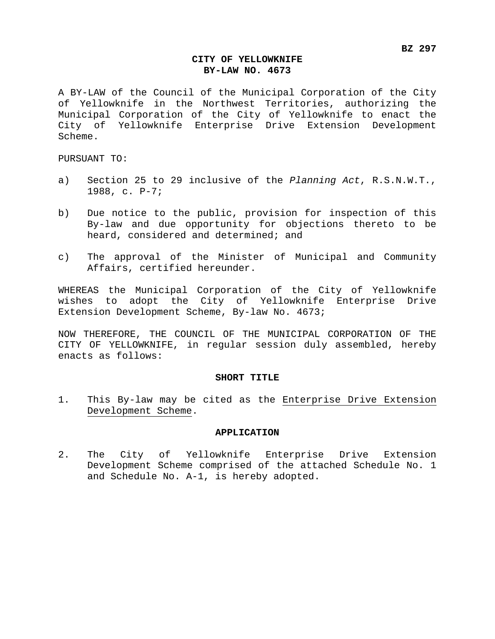## **CITY OF YELLOWKNIFE BY-LAW NO. 4673**

A BY-LAW of the Council of the Municipal Corporation of the City of Yellowknife in the Northwest Territories, authorizing the Municipal Corporation of the City of Yellowknife to enact the City of Yellowknife Enterprise Drive Extension Development Scheme.

PURSUANT TO:

- a) Section 25 to 29 inclusive of the *Planning Act*, R.S.N.W.T., 1988, c. P-7;
- b) Due notice to the public, provision for inspection of this By-law and due opportunity for objections thereto to be heard, considered and determined; and
- c) The approval of the Minister of Municipal and Community Affairs, certified hereunder.

WHEREAS the Municipal Corporation of the City of Yellowknife wishes to adopt the City of Yellowknife Enterprise Drive Extension Development Scheme, By-law No. 4673;

NOW THEREFORE, THE COUNCIL OF THE MUNICIPAL CORPORATION OF THE CITY OF YELLOWKNIFE, in regular session duly assembled, hereby enacts as follows:

### **SHORT TITLE**

1. This By-law may be cited as the Enterprise Drive Extension Development Scheme.

#### **APPLICATION**

2. The City of Yellowknife Enterprise Drive Extension Development Scheme comprised of the attached Schedule No. 1 and Schedule No. A-1, is hereby adopted.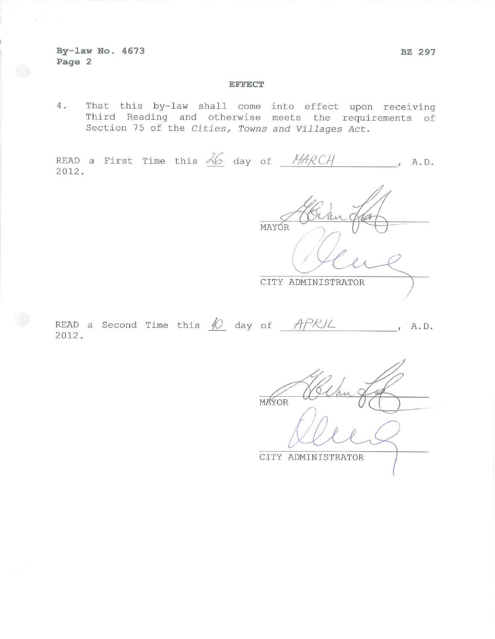By-law No. 4673 Page 2

 $\sim \frac{E}{c}$ 

### **EFFECT**

That this by-law shall come into effect upon receiving 4. Third Reading and otherwise meets the requirements of Section 75 of the Cities, Towns and Villages Act.

READ a First Time this  $\frac{\lambda}{6}$  day of  $\frac{N}{4}$ RCA  $, A.D.$ 2012.

MAYÓR CITY ADMINISTRATOR

READ a Second Time this  $\sqrt{0}$  day of  $APR/L$  $, A \cdot D$ . 2012.

**MAYOR** 

CITY ADMINISTRATOR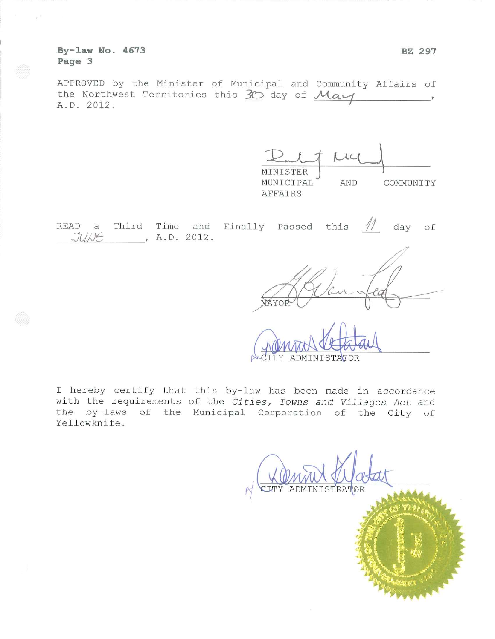By-law No. 4673 Page 3

APPROVED by the Minister of Municipal and Community Affairs of the Northwest Territories this 30 day of May A.D. 2012.

| MINISTER  |     |           |
|-----------|-----|-----------|
| MUNICIPAL | AND | COMMUNITY |
| AFFAIRS   |     |           |

|  |                            |  | READ a Third Time and Finally Passed this $\frac{1}{1}$ day of |  |  |  |
|--|----------------------------|--|----------------------------------------------------------------|--|--|--|
|  | $JU\land E$ , $A.D. 2012.$ |  |                                                                |  |  |  |

ADMINISTATOR

I hereby certify that this by-law has been made in accordance with the requirements of the Cities, Towns and Villages Act and the by-laws of the Municipal Corporation of the City of Yellowknife.

ADMINISTRATOR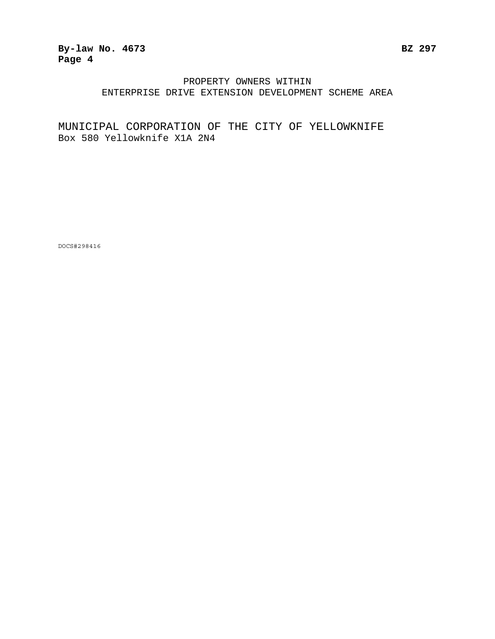## **By-law No. 4673 BZ 297 Page 4**

## PROPERTY OWNERS WITHIN ENTERPRISE DRIVE EXTENSION DEVELOPMENT SCHEME AREA

# MUNICIPAL CORPORATION OF THE CITY OF YELLOWKNIFE Box 580 Yellowknife X1A 2N4

DOCS#298416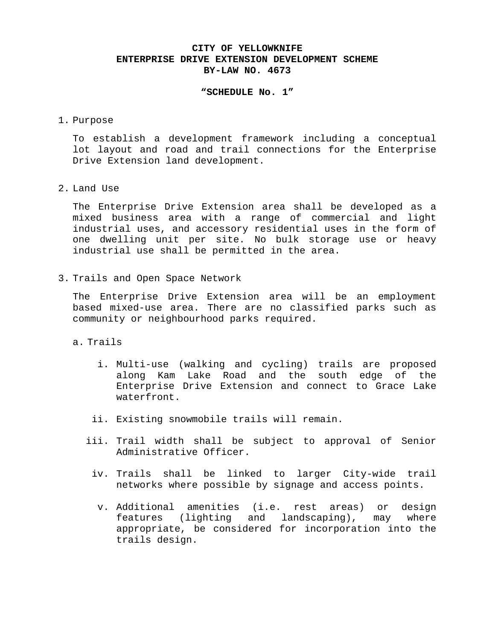### **CITY OF YELLOWKNIFE ENTERPRISE DRIVE EXTENSION DEVELOPMENT SCHEME BY-LAW NO. 4673**

### **"SCHEDULE No. 1"**

1. Purpose

To establish a development framework including a conceptual lot layout and road and trail connections for the Enterprise Drive Extension land development.

2. Land Use

The Enterprise Drive Extension area shall be developed as a mixed business area with a range of commercial and light industrial uses, and accessory residential uses in the form of one dwelling unit per site. No bulk storage use or heavy industrial use shall be permitted in the area.

3. Trails and Open Space Network

The Enterprise Drive Extension area will be an employment based mixed-use area. There are no classified parks such as community or neighbourhood parks required.

a. Trails

- i. Multi-use (walking and cycling) trails are proposed along Kam Lake Road and the south edge of the Enterprise Drive Extension and connect to Grace Lake waterfront.
- ii. Existing snowmobile trails will remain.
- iii. Trail width shall be subject to approval of Senior Administrative Officer.
	- iv. Trails shall be linked to larger City-wide trail networks where possible by signage and access points.
		- v. Additional amenities (i.e. rest areas) or design features (lighting and landscaping), may where appropriate, be considered for incorporation into the trails design.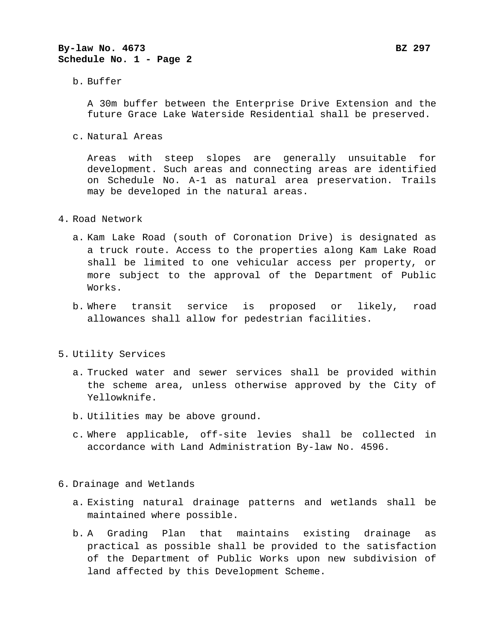## **By-law No. 4673 BZ 297 Schedule No. 1 - Page 2**

b. Buffer

A 30m buffer between the Enterprise Drive Extension and the future Grace Lake Waterside Residential shall be preserved.

c. Natural Areas

Areas with steep slopes are generally unsuitable for development. Such areas and connecting areas are identified on Schedule No. A-1 as natural area preservation. Trails may be developed in the natural areas.

- 4. Road Network
	- a. Kam Lake Road (south of Coronation Drive) is designated as a truck route. Access to the properties along Kam Lake Road shall be limited to one vehicular access per property, or more subject to the approval of the Department of Public Works.
	- b. Where transit service is proposed or likely, road allowances shall allow for pedestrian facilities.
- 5. Utility Services
	- a. Trucked water and sewer services shall be provided within the scheme area, unless otherwise approved by the City of Yellowknife.
	- b. Utilities may be above ground.
	- c. Where applicable, off-site levies shall be collected in accordance with Land Administration By-law No. 4596.

6. Drainage and Wetlands

- a. Existing natural drainage patterns and wetlands shall be maintained where possible.
- b. A Grading Plan that maintains existing drainage as practical as possible shall be provided to the satisfaction of the Department of Public Works upon new subdivision of land affected by this Development Scheme.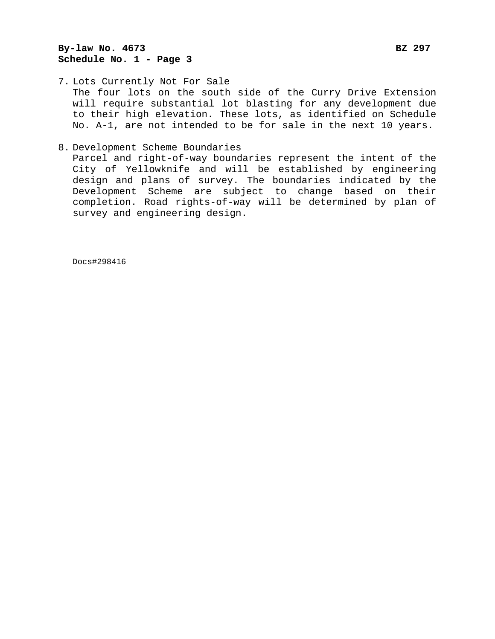# **By-law No. 4673 By-law No. 4673 Schedule No. 1 - Page 3**

- 7. Lots Currently Not For Sale The four lots on the south side of the Curry Drive Extension will require substantial lot blasting for any development due to their high elevation. These lots, as identified on Schedule No. A-1, are not intended to be for sale in the next 10 years.
- 8. Development Scheme Boundaries

Parcel and right-of-way boundaries represent the intent of the City of Yellowknife and will be established by engineering design and plans of survey. The boundaries indicated by the Development Scheme are subject to change based on their completion. Road rights-of-way will be determined by plan of survey and engineering design.

Docs#298416